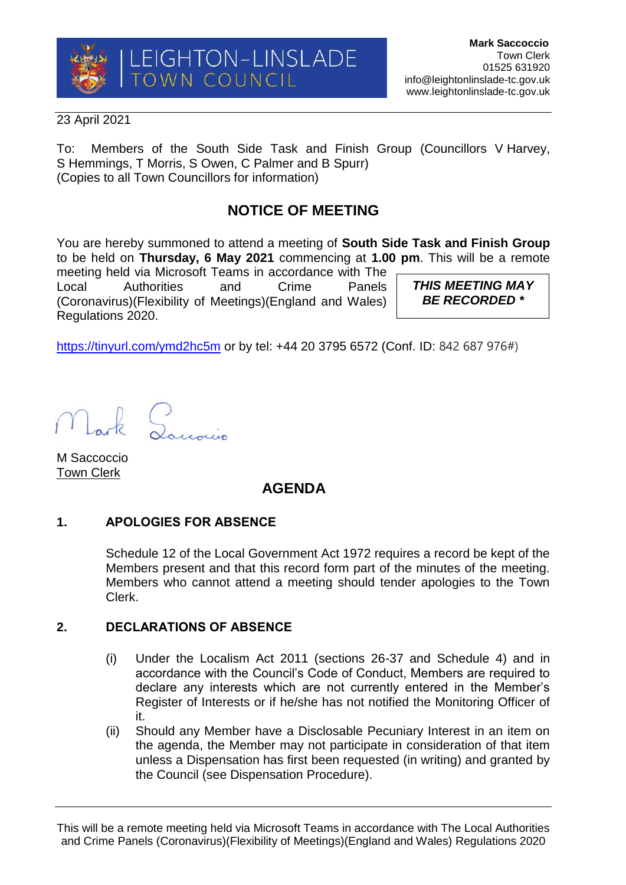

### 23 April 2021

To: Members of the South Side Task and Finish Group (Councillors V Harvey, S Hemmings, T Morris, S Owen, C Palmer and B Spurr) (Copies to all Town Councillors for information)

# **NOTICE OF MEETING**

You are hereby summoned to attend a meeting of **South Side Task and Finish Group** to be held on **Thursday, 6 May 2021** commencing at **1.00 pm**. This will be a remote

meeting held via Microsoft Teams in accordance with The Local Authorities and Crime Panels (Coronavirus)(Flexibility of Meetings)(England and Wales) Regulations 2020.

*THIS MEETING MAY BE RECORDED \**

<https://tinyurl.com/ymd2hc5m> or by tel: +44 20 3795 6572 (Conf. ID: 842 687 976#)

M Saccoccio Town Clerk

## **AGENDA**

## **1. APOLOGIES FOR ABSENCE**

Schedule 12 of the Local Government Act 1972 requires a record be kept of the Members present and that this record form part of the minutes of the meeting. Members who cannot attend a meeting should tender apologies to the Town Clerk.

## **2. DECLARATIONS OF ABSENCE**

- (i) Under the Localism Act 2011 (sections 26-37 and Schedule 4) and in accordance with the Council's Code of Conduct, Members are required to declare any interests which are not currently entered in the Member's Register of Interests or if he/she has not notified the Monitoring Officer of it.
- (ii) Should any Member have a Disclosable Pecuniary Interest in an item on the agenda, the Member may not participate in consideration of that item unless a Dispensation has first been requested (in writing) and granted by the Council (see Dispensation Procedure).

This will be a remote meeting held via Microsoft Teams in accordance with The Local Authorities and Crime Panels (Coronavirus)(Flexibility of Meetings)(England and Wales) Regulations 2020